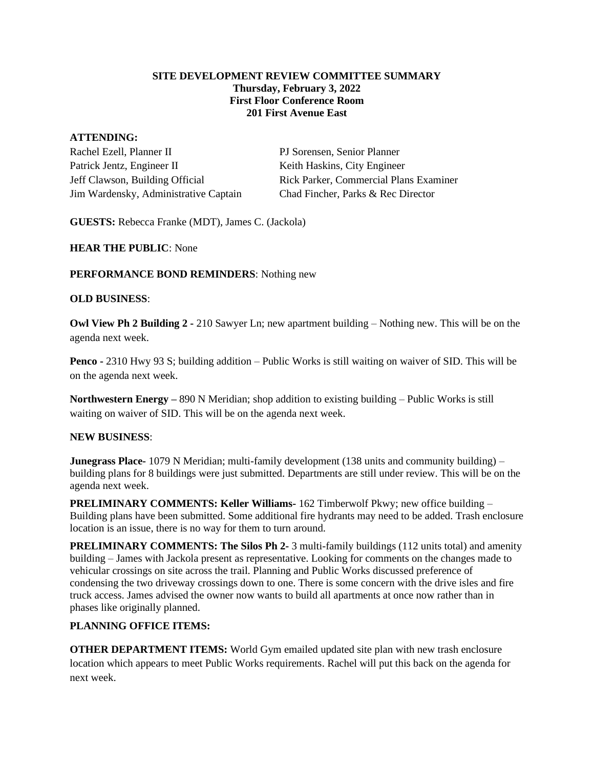#### **SITE DEVELOPMENT REVIEW COMMITTEE SUMMARY Thursday, February 3, 2022 First Floor Conference Room 201 First Avenue East**

### **ATTENDING:**

Rachel Ezell, Planner II PJ Sorensen, Senior Planner Patrick Jentz, Engineer II Keith Haskins, City Engineer Jim Wardensky, Administrative Captain Chad Fincher, Parks & Rec Director

Jeff Clawson, Building Official Rick Parker, Commercial Plans Examiner

**GUESTS:** Rebecca Franke (MDT), James C. (Jackola)

**HEAR THE PUBLIC**: None

## **PERFORMANCE BOND REMINDERS**: Nothing new

### **OLD BUSINESS**:

**Owl View Ph 2 Building 2 -** 210 Sawyer Ln; new apartment building – Nothing new. This will be on the agenda next week.

**Penco -** 2310 Hwy 93 S; building addition – Public Works is still waiting on waiver of SID. This will be on the agenda next week.

**Northwestern Energy –** 890 N Meridian; shop addition to existing building – Public Works is still waiting on waiver of SID. This will be on the agenda next week.

# **NEW BUSINESS**:

**Junegrass Place-** 1079 N Meridian; multi-family development (138 units and community building) – building plans for 8 buildings were just submitted. Departments are still under review. This will be on the agenda next week.

**PRELIMINARY COMMENTS: Keller Williams-** 162 Timberwolf Pkwy; new office building – Building plans have been submitted. Some additional fire hydrants may need to be added. Trash enclosure location is an issue, there is no way for them to turn around.

**PRELIMINARY COMMENTS: The Silos Ph 2-** 3 multi-family buildings (112 units total) and amenity building – James with Jackola present as representative. Looking for comments on the changes made to vehicular crossings on site across the trail. Planning and Public Works discussed preference of condensing the two driveway crossings down to one. There is some concern with the drive isles and fire truck access. James advised the owner now wants to build all apartments at once now rather than in phases like originally planned.

# **PLANNING OFFICE ITEMS:**

**OTHER DEPARTMENT ITEMS:** World Gym emailed updated site plan with new trash enclosure location which appears to meet Public Works requirements. Rachel will put this back on the agenda for next week.